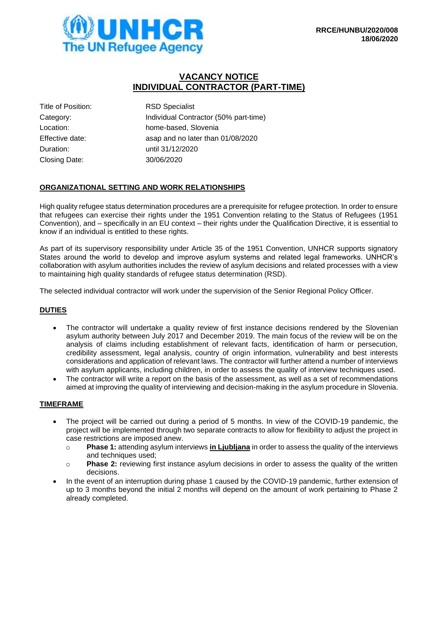# **VACANCY NOTICE INDIVIDUAL CONTRACTOR (PART-TIME)**

Title of Position: RSD Specialist Duration: until 31/12/2020 Closing Date: 30/06/2020

Category: Category: Individual Contractor (50% part-time) Location: home-based, Slovenia Effective date: asap and no later than 01/08/2020

# **ORGANIZATIONAL SETTING AND WORK RELATIONSHIPS**

High quality refugee status determination procedures are a prerequisite for refugee protection. In order to ensure that refugees can exercise their rights under the 1951 Convention relating to the Status of Refugees (1951 Convention), and – specifically in an EU context – their rights under the Qualification Directive, it is essential to know if an individual is entitled to these rights.

As part of its supervisory responsibility under Article 35 of the 1951 Convention, UNHCR supports signatory States around the world to develop and improve asylum systems and related legal frameworks. UNHCR's collaboration with asylum authorities includes the review of asylum decisions and related processes with a view to maintaining high quality standards of refugee status determination (RSD).

The selected individual contractor will work under the supervision of the Senior Regional Policy Officer.

# **DUTIES**

- The contractor will undertake a quality review of first instance decisions rendered by the Slovenian asylum authority between July 2017 and December 2019. The main focus of the review will be on the analysis of claims including establishment of relevant facts, identification of harm or persecution, credibility assessment, legal analysis, country of origin information, vulnerability and best interests considerations and application of relevant laws. The contractor will further attend a number of interviews with asylum applicants, including children, in order to assess the quality of interview techniques used.
- The contractor will write a report on the basis of the assessment, as well as a set of recommendations aimed at improving the quality of interviewing and decision-making in the asylum procedure in Slovenia.

### **TIMEFRAME**

- The project will be carried out during a period of 5 months. In view of the COVID-19 pandemic, the project will be implemented through two separate contracts to allow for flexibility to adjust the project in case restrictions are imposed anew.
	- o **Phase 1:** attending asylum interviews **in Ljubljana** in order to assess the quality of the interviews and techniques used;
	- o **Phase 2:** reviewing first instance asylum decisions in order to assess the quality of the written decisions.
- In the event of an interruption during phase 1 caused by the COVID-19 pandemic, further extension of up to 3 months beyond the initial 2 months will depend on the amount of work pertaining to Phase 2 already completed.